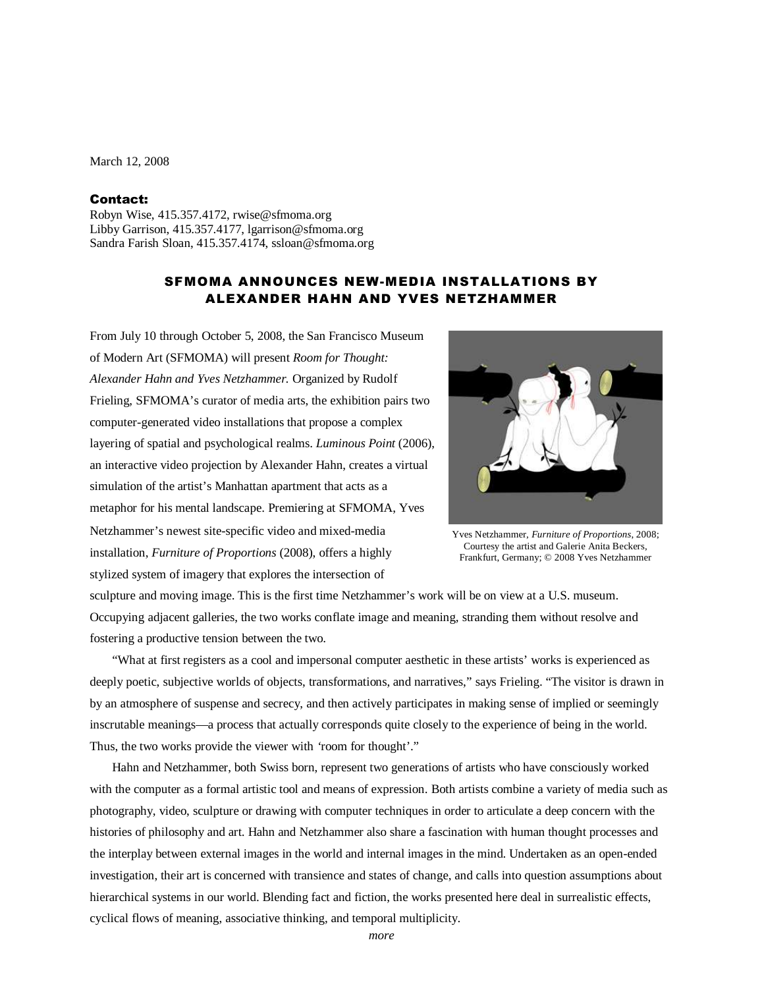March 12, 2008

### Contact:

Robyn Wise, 415.357.4172, rwise@sfmoma.org Libby Garrison, 415.357.4177, lgarrison@sfmoma.org Sandra Farish Sloan, 415.357.4174, ssloan@sfmoma.org

# SFMOMA ANNOUNCES NEW-MEDIA INSTALLATIONS BY ALEXANDER HAHN AND YVES NETZHAMMER

From July 10 through October 5, 2008, the San Francisco Museum of Modern Art (SFMOMA) will present *Room for Thought: Alexander Hahn and Yves Netzhammer.* Organized by Rudolf Frieling, SFMOMA's curator of media arts, the exhibition pairs two computer-generated video installations that propose a complex layering of spatial and psychological realms. *Luminous Point* (2006), an interactive video projection by Alexander Hahn, creates a virtual simulation of the artist's Manhattan apartment that acts as a metaphor for his mental landscape. Premiering at SFMOMA, Yves Netzhammer's newest site-specific video and mixed-media installation, *Furniture of Proportions* (2008), offers a highly stylized system of imagery that explores the intersection of



Yves Netzhammer, *Furniture of Proportions*, 2008; Courtesy the artist and Galerie Anita Beckers, Frankfurt, Germany; © 2008 Yves Netzhammer

sculpture and moving image. This is the first time Netzhammer's work will be on view at a U.S. museum. Occupying adjacent galleries, the two works conflate image and meaning, stranding them without resolve and fostering a productive tension between the two.

"What at first registers as a cool and impersonal computer aesthetic in these artists' works is experienced as deeply poetic, subjective worlds of objects, transformations, and narratives," says Frieling. "The visitor is drawn in by an atmosphere of suspense and secrecy, and then actively participates in making sense of implied or seemingly inscrutable meanings—a process that actually corresponds quite closely to the experience of being in the world. Thus, the two works provide the viewer with *'*room for thought'."

Hahn and Netzhammer, both Swiss born, represent two generations of artists who have consciously worked with the computer as a formal artistic tool and means of expression. Both artists combine a variety of media such as photography, video, sculpture or drawing with computer techniques in order to articulate a deep concern with the histories of philosophy and art. Hahn and Netzhammer also share a fascination with human thought processes and the interplay between external images in the world and internal images in the mind. Undertaken as an open-ended investigation, their art is concerned with transience and states of change, and calls into question assumptions about hierarchical systems in our world. Blending fact and fiction, the works presented here deal in surrealistic effects, cyclical flows of meaning, associative thinking, and temporal multiplicity.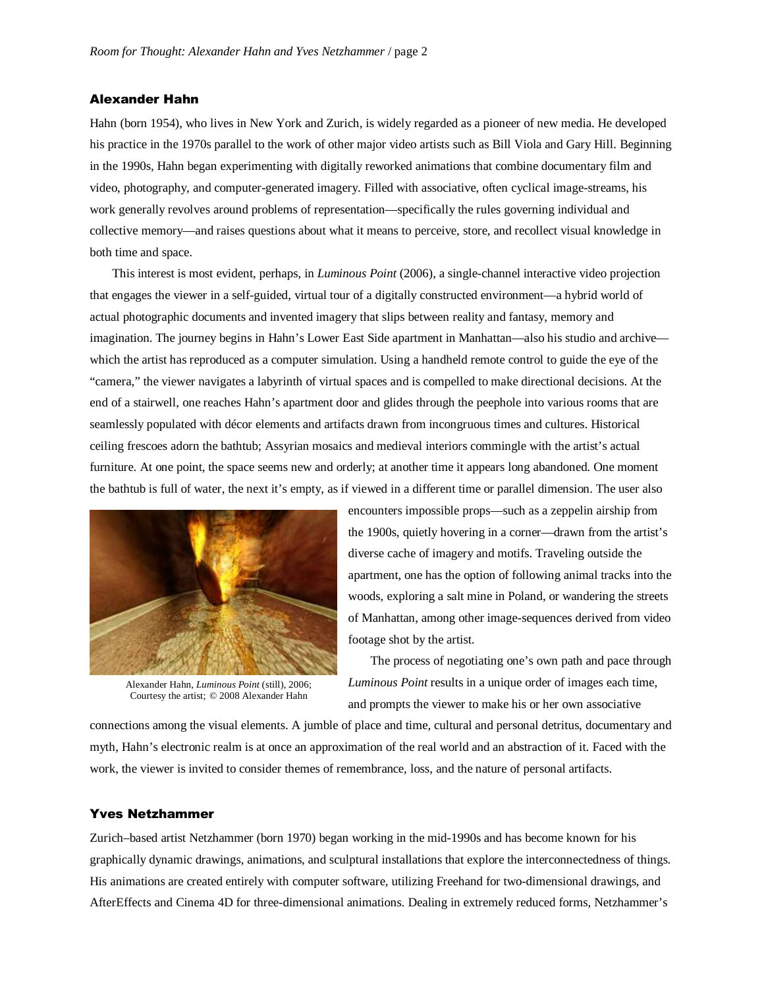## Alexander Hahn

Hahn (born 1954), who lives in New York and Zurich, is widely regarded as a pioneer of new media. He developed his practice in the 1970s parallel to the work of other major video artists such as Bill Viola and Gary Hill. Beginning in the 1990s, Hahn began experimenting with digitally reworked animations that combine documentary film and video, photography, and computer-generated imagery. Filled with associative, often cyclical image-streams, his work generally revolves around problems of representation—specifically the rules governing individual and collective memory—and raises questions about what it means to perceive, store, and recollect visual knowledge in both time and space.

This interest is most evident, perhaps, in *Luminous Point* (2006), a single-channel interactive video projection that engages the viewer in a self-guided, virtual tour of a digitally constructed environment—a hybrid world of actual photographic documents and invented imagery that slips between reality and fantasy, memory and imagination. The journey begins in Hahn's Lower East Side apartment in Manhattan—also his studio and archive which the artist has reproduced as a computer simulation. Using a handheld remote control to guide the eye of the "camera," the viewer navigates a labyrinth of virtual spaces and is compelled to make directional decisions. At the end of a stairwell, one reaches Hahn's apartment door and glides through the peephole into various rooms that are seamlessly populated with décor elements and artifacts drawn from incongruous times and cultures. Historical ceiling frescoes adorn the bathtub; Assyrian mosaics and medieval interiors commingle with the artist's actual furniture. At one point, the space seems new and orderly; at another time it appears long abandoned. One moment the bathtub is full of water, the next it's empty, as if viewed in a different time or parallel dimension. The user also



Alexander Hahn, *Luminous Point* (still), 2006; Courtesy the artist; © 2008 Alexander Hahn

encounters impossible props—such as a zeppelin airship from the 1900s, quietly hovering in a corner—drawn from the artist's diverse cache of imagery and motifs. Traveling outside the apartment, one has the option of following animal tracks into the woods, exploring a salt mine in Poland, or wandering the streets of Manhattan, among other image-sequences derived from video footage shot by the artist.

The process of negotiating one's own path and pace through *Luminous Point* results in a unique order of images each time, and prompts the viewer to make his or her own associative

connections among the visual elements. A jumble of place and time, cultural and personal detritus, documentary and myth, Hahn's electronic realm is at once an approximation of the real world and an abstraction of it. Faced with the work, the viewer is invited to consider themes of remembrance, loss, and the nature of personal artifacts.

#### Yves Netzhammer

Zurich–based artist Netzhammer (born 1970) began working in the mid-1990s and has become known for his graphically dynamic drawings, animations, and sculptural installations that explore the interconnectedness of things. His animations are created entirely with computer software, utilizing Freehand for two-dimensional drawings, and AfterEffects and Cinema 4D for three-dimensional animations. Dealing in extremely reduced forms, Netzhammer's